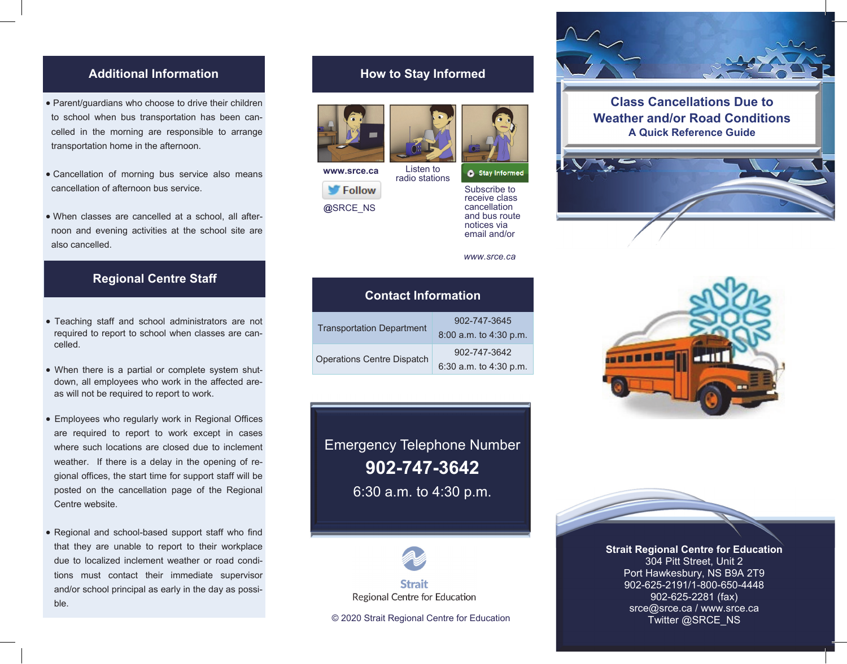#### **Additional Information are responsible to a responsible to all the morning are responsible to an arrange in the morning are responsible to an article to arrange in the morning are responsible to an article to arrange in t** to school when bus transportation has been can-**Additional Information**

Parent/guardians who choose to drive their children

- **•** Parent/guardians who choose to drive their children to school when bus transportation has been can-to school when bus transportation has been can-to school when bus transportation has been cancelled in the morning are responsible to arrange transportation home in the afternoon. transportation home in the afternoon. cancellation of afternoon bus service. transportation home in the afternoon. transportation home in the afternoon. to school when bus transportation has been called the school when the can-
- · Cancellation of morning bus service also means cancellation of afternoon bus service.
- When classes are cancelled at a school, all after-When classes are cancelled at a school, all after-When classes are cancelled at a school, all after-When classes are cancelled at a school, all afternoon and evening activities at the school site are moon and evening activities at the school site are also cancelled. also cancelled. **Regional Centre Staff**  also cancelled.

#### **Regional Centre Staff Regional Centre Staff Regional Centre Staff**  Teaching staff and school administrators are not **Regional Centre Staff**

- Teaching staff and school administrators are not Teaching staff and school administrators are not required to report to school when classes are cancelled. The celled to require to report to school when classes are can- $\text{celled.}$  $r_{\text{c}}$  are can- $r_{\text{c}}$  when can-
- When there is a partial or complete system shutdown, all employees who work in the affected areas will not be required to report to work. Example to regular to report to Work.
- Employees who regularly work in Regional Offices are required to report to work except in cases where such locations are closed due to inclement weather. If there is a delay in the opening of regional offices, the start time for support staff will be posted on the cancellation page of the Regional **Centre website. posted on the cancellation page of the cancellation page of the cancellation page of the Regional Property of the Cancellation page of the Regional Property of the Cancellation page of the Regional Prope** Centre website.  $\frac{1}{2}$  of the statistics, the statistic statistics, the statistical behavior statistical behavior statistics.
- Regional and school-based support staff who find Regional and school-based support staff who find Regional and school-based support staff who find posted on the cancellation page of the Regional that they are unable to report to their workplace due to localized inclement weather or road condi-due to localized inclement weather or road condi-due to localized inclement weather or road condi-that they are unable to report to their workplace tions must contact their immediate supervisor and/or school principal as early in the day as possible. ble.  $rac{a}{b}$  $\mathsf{D}\mathsf{I}\mathsf{e}$ .

and/or school principal as early in the day as early in the day as possible day as possible day as possible da

# **How to Stay Informed How to Stay Informed How to Stay Informed**





Subscribe to the top of the top of the top of the top of the top of the top of the top of the top of the top of the top of the top of the top of the top of the top of the top of the top of the top of the top of the top of  $\sum_{i=1}^n$ can can continue to the continue of the continue of the continue of the continue of the continue of the continue of the continue of the continue of the continue of the continue of the continue of the continue of the contin  $Listen to$  **a** stay informed

subscribe to Subscribe to<br>receive class cancellation cancellation receive class cancellation and bus route and bus route cancellation notices via notices via *www.srce.ca*  and bus route and bus route email and/or email and/or notices via notices<br>Amail a



email and/or

email and

| 902-747-3645<br><b>Transportation Department</b><br>902-747-3642<br><b>Operations Centre Dispatch</b> | <b>Contact Information</b> |                        |
|-------------------------------------------------------------------------------------------------------|----------------------------|------------------------|
|                                                                                                       |                            | 8:00 a.m. to 4:30 p.m. |
|                                                                                                       |                            | 6:30 a.m. to 4:30 p.m. |

Emergency Telephone Number Emergency Telephone Number **902-747-3642 902-747-3642**  6:30 a.m. to 4:30 p.m. 6:30 a.m. to 4:30 p.m. 6:30 a.m. to 4:30 p.m. **902-747-3642**  Emergency Telephone Number **902-747-2642** Emergency Telephone Number **9.00 a.m.** to 4.00



6:30 a.m. to 4:30 p.m.

Regional Centre for Education

© 2020 Strait Regional Centre for Education © 2020 Strait Regional Centre for Education © 2020 Strait Regional Centre for Education



## **Class Cancellations Due to Class Cancellations Due to Class Cancellations Due to Weather and/or Road Conditions Weather and/or Road Conditions Weather and/or Road Conditions Weather and/or Road Conditions A Quick Reference Guide A Quick Reference Guide A Quick Reference Guide A Quick Reference Guide Class Cancellations Due to**







srce@srce.ca / www.srce.ca